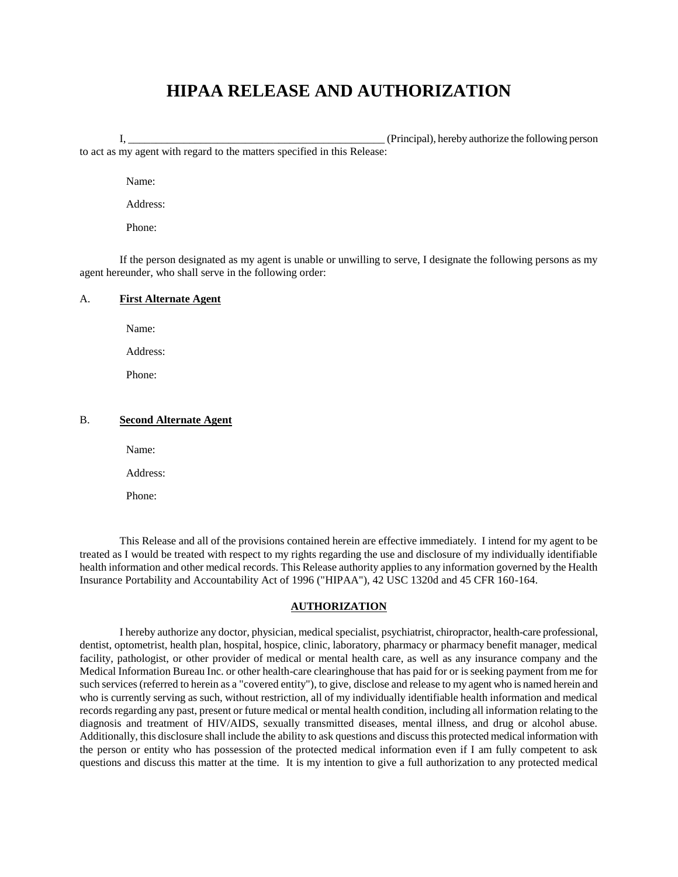# **HIPAA RELEASE AND AUTHORIZATION**

I, \_\_\_\_\_\_\_\_\_\_\_\_\_\_\_\_\_\_\_\_\_\_\_\_\_\_\_\_\_\_\_\_\_\_\_\_\_\_\_\_\_\_\_\_\_\_ (Principal), hereby authorize the following person to act as my agent with regard to the matters specified in this Release:

Name:

Address:

Phone:

If the person designated as my agent is unable or unwilling to serve, I designate the following persons as my agent hereunder, who shall serve in the following order:

#### A. **First Alternate Agent**

Name:

Address:

Phone:

### B. **Second Alternate Agent**

Name:

Address:

Phone:

This Release and all of the provisions contained herein are effective immediately. I intend for my agent to be treated as I would be treated with respect to my rights regarding the use and disclosure of my individually identifiable health information and other medical records. This Release authority applies to any information governed by the Health Insurance Portability and Accountability Act of 1996 ("HIPAA"), 42 USC 1320d and 45 CFR 160-164.

#### **AUTHORIZATION**

I hereby authorize any doctor, physician, medical specialist, psychiatrist, chiropractor, health-care professional, dentist, optometrist, health plan, hospital, hospice, clinic, laboratory, pharmacy or pharmacy benefit manager, medical facility, pathologist, or other provider of medical or mental health care, as well as any insurance company and the Medical Information Bureau Inc. or other health-care clearinghouse that has paid for or is seeking payment from me for such services (referred to herein as a "covered entity"), to give, disclose and release to my agent who is named herein and who is currently serving as such, without restriction, all of my individually identifiable health information and medical records regarding any past, present or future medical or mental health condition, including all information relating to the diagnosis and treatment of HIV/AIDS, sexually transmitted diseases, mental illness, and drug or alcohol abuse. Additionally, this disclosure shall include the ability to ask questions and discuss this protected medical information with the person or entity who has possession of the protected medical information even if I am fully competent to ask questions and discuss this matter at the time. It is my intention to give a full authorization to any protected medical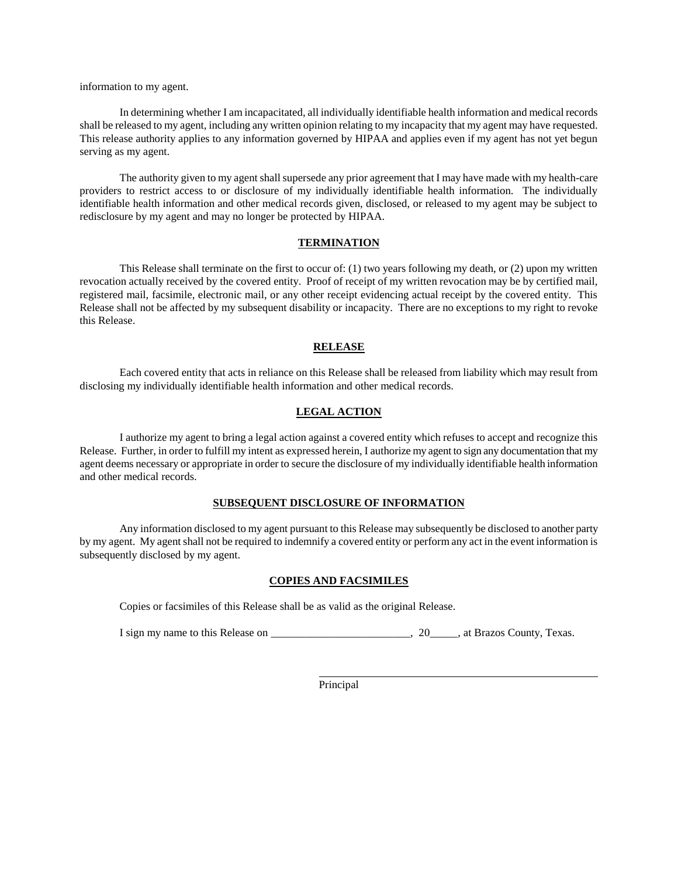information to my agent.

In determining whether I am incapacitated, all individually identifiable health information and medical records shall be released to my agent, including any written opinion relating to my incapacity that my agent may have requested. This release authority applies to any information governed by HIPAA and applies even if my agent has not yet begun serving as my agent.

The authority given to my agent shall supersede any prior agreement that I may have made with my health-care providers to restrict access to or disclosure of my individually identifiable health information. The individually identifiable health information and other medical records given, disclosed, or released to my agent may be subject to redisclosure by my agent and may no longer be protected by HIPAA.

#### **TERMINATION**

This Release shall terminate on the first to occur of: (1) two years following my death, or (2) upon my written revocation actually received by the covered entity. Proof of receipt of my written revocation may be by certified mail, registered mail, facsimile, electronic mail, or any other receipt evidencing actual receipt by the covered entity. This Release shall not be affected by my subsequent disability or incapacity. There are no exceptions to my right to revoke this Release.

# **RELEASE**

Each covered entity that acts in reliance on this Release shall be released from liability which may result from disclosing my individually identifiable health information and other medical records.

#### **LEGAL ACTION**

I authorize my agent to bring a legal action against a covered entity which refuses to accept and recognize this Release. Further, in order to fulfill my intent as expressed herein, I authorize my agent to sign any documentation that my agent deems necessary or appropriate in order to secure the disclosure of my individually identifiable health information and other medical records.

#### **SUBSEQUENT DISCLOSURE OF INFORMATION**

Any information disclosed to my agent pursuant to this Release may subsequently be disclosed to another party by my agent. My agent shall not be required to indemnify a covered entity or perform any act in the event information is subsequently disclosed by my agent.

#### **COPIES AND FACSIMILES**

Copies or facsimiles of this Release shall be as valid as the original Release.

I sign my name to this Release on \_\_\_\_\_\_\_\_\_\_\_\_\_\_\_\_\_\_\_\_\_\_\_\_\_\_\_\_\_\_\_\_, 20\_\_\_\_\_\_, at Brazos County, Texas.

Principal